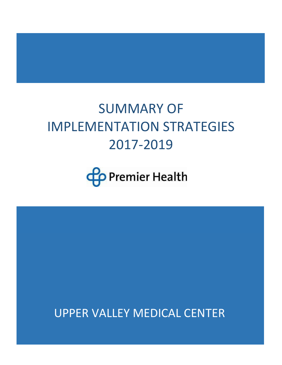# SUMMARY OF IMPLEMENTATION STRATEGIES 2017-2019



UPPER VALLEY MEDICAL CENTER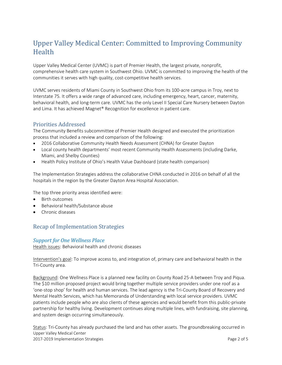# Upper Valley Medical Center: Committed to Improving Community Health

Upper Valley Medical Center (UVMC) is part of Premier Health, the largest private, nonprofit, comprehensive health care system in Southwest Ohio. UVMC is committed to improving the health of the communities it serves with high quality, cost-competitive health services.

UVMC serves residents of Miami County in Southwest Ohio from its 100-acre campus in Troy, next to Interstate 75. It offers a wide range of advanced care, including emergency, heart, cancer, maternity, behavioral health, and long-term care. UVMC has the only [Level II Special Care Nursery](https://www.premierhealth.com/services/maternity/obstetrics/neonatal-care) between Dayton and Lima. It has achieved Magnet® Recognition for excellence in patient care.

## Priorities Addressed

The Community Benefits subcommittee of Premier Health designed and executed the prioritization process that included a review and comparison of the following:

- 2016 Collaborative Community Health Needs Assessment (CHNA) for Greater Dayton
- Local county health departments' most recent Community Health Assessments (including Darke, Miami, and Shelby Counties)
- Health Policy Institute of Ohio's Health Value Dashboard (state health comparison)

The Implementation Strategies address the collaborative CHNA conducted in 2016 on behalf of all the hospitals in the region by the Greater Dayton Area Hospital Association.

The top three priority areas identified were:

- Birth outcomes
- Behavioral health/Substance abuse
- Chronic diseases

# Recap of Implementation Strategies

#### *Support for One Wellness Place*

Health issues: Behavioral health and chronic diseases

Intervention's goal: To improve access to, and integration of, primary care and behavioral health in the Tri-County area.

Background: One Wellness Place is a planned new facility on County Road 25-A between Troy and Piqua. The \$10 million proposed project would bring together multiple service providers under one roof as a 'one-stop shop' for health and human services. The lead agency is the Tri-County Board of Recovery and Mental Health Services, which has Memoranda of Understanding with local service providers. UVMC patients include people who are also clients of these agencies and would benefit from this public-private partnership for healthy living. Development continues along multiple lines, with fundraising, site planning, and system design occurring simultaneously.

Upper Valley Medical Center 2017-2019 Implementation Strategies Page 2 of 5 Status: Tri-County has already purchased the land and has other assets. The groundbreaking occurred in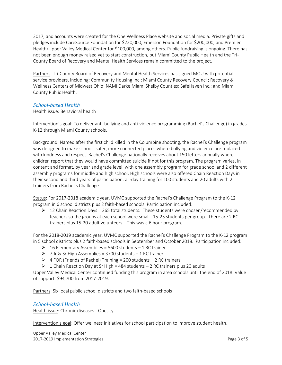2017, and accounts were created for the One Wellness Place website and social media. Private gifts and pledges include CareSource Foundation for \$220,000, Emerson Foundation for \$200,000, and Premier Health/Upper Valley Medical Center for \$100,000, among others. Public fundraising is ongoing. There has not been enough money raised yet to start construction, but Miami County Public Health and the Tri-County Board of Recovery and Mental Health Services remain committed to the project.

Partners: Tri-County Board of Recovery and Mental Health Services has signed MOU with potential service providers, including: Community Housing Inc.; Miami County Recovery Council; Recovery & Wellness Centers of Midwest Ohio; NAMI Darke Miami Shelby Counties; SafeHaven Inc.; and Miami County Public Health.

#### *School-based Health*

#### Health issue: Behavioral health

Intervention's goal: To deliver anti-bullying and anti-violence programming (Rachel's Challenge) in grades K-12 through Miami County schools.

Background: Named after the first child killed in the Columbine shooting, the Rachel's Challenge program was designed to make schools safer, more connected places where bullying and violence are replaced with kindness and respect. Rachel's Challenge nationally receives about 150 letters annually where children report that they would have committed suicide if not for this program. The program varies, in content and format, by year and grade level, with one assembly program for grade school and 2 different assembly programs for middle and high school. High schools were also offered Chain Reaction Days in their second and third years of participation: all-day training for 100 students and 20 adults with 2 trainers from Rachel's Challenge.

Status: For 2017-2018 academic year, UVMC supported the Rachel's Challenge Program to the K-12 program in 6 school districts plus 2 faith-based schools. Participation included:

 $\triangleright$  12 Chain Reaction Days = 265 total students. These students were chosen/recommended by teachers so the groups at each school were small…15-25 students per group. There are 2 RC trainers plus 15-20 adult volunteers. This was a 6 hour program.

For the 2018-2019 academic year, UVMC supported the Rachel's Challenge Program to the K-12 program in 5 school districts plus 2 faith-based schools in September and October 2018. Participation included:

- $\geq 16$  Elementary Assemblies = 5600 students 1 RC trainer
- $\triangleright$  7 Jr & Sr High Assemblies = 3700 students 1 RC trainer
- $\triangleright$  4 FOR (Friends of Rachel) Training = 200 students 2 RC trainers
- $\triangleright$  1 Chain Reaction Day at Sr High = 484 students 2 RC trainers plus 20 adults

Upper Valley Medical Center continued funding this program in area schools until the end of 2018. Value of support: \$94,700 from 2017-2019.

Partners: Six local public school districts and two faith-based schools

#### *School-based Health*

Health issue: Chronic diseases - Obesity

Intervention's goal: Offer wellness initiatives for school participation to improve student health.

Upper Valley Medical Center 2017-2019 Implementation Strategies Page 3 of 5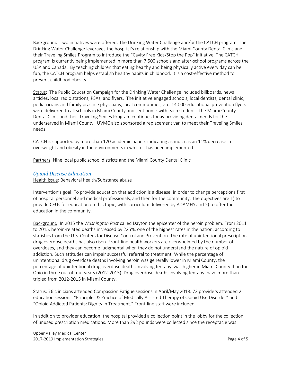Background: Two initiatives were offered: The Drinking Water Challenge and/or the CATCH program. The Drinking Water Challenge leverages the hospital's relationship with the Miami County Dental Clinic and their Traveling Smiles Program to introduce the "Cavity Free Kids/Stop the Pop" initiative. The CATCH program is currently being implemented in more than 7,500 schools and after-school programs across the USA and Canada. By teaching children that eating healthy and being physically active every day can be fun, the CATCH program helps establish healthy habits in childhood. It is a cost-effective method to prevent childhood obesity.

Status: The Public Education Campaign for the Drinking Water Challenge included billboards, news articles, local radio stations, PSAs, and flyers. The initiative engaged schools, local dentists, dental clinic, pediatricians and family practice physicians, local communities, etc. 14,000 educational prevention flyers were delivered to all schools in Miami County and sent home with each student. The Miami County Dental Clinic and their Traveling Smiles Program continues today providing dental needs for the underserved in Miami County. UVMC also sponsored a replacement van to meet their Traveling Smiles needs.

CATCH is supported by more than 120 academic papers indicating as much as an 11% decrease in overweight and obesity in the environments in which it has been implemented.

Partners: Nine local public school districts and the Miami County Dental Clinic

#### *Opioid Disease Education*

Health issue: Behavioral health/Substance abuse

Intervention's goal: To provide education that addiction is a disease, in order to change perceptions first of hospital personnel and medical professionals, and then for the community. The objectives are 1) to provide CEUs for education on this topic, with curriculum delivered by ADAMHS and 2) to offer the education in the community.

Background: In 2015 the *Washington Post* called Dayton the epicenter of the heroin problem. From 2011 to 2015, heroin-related deaths increased by 225%, one of the highest rates in the nation, according to statistics from the U.S. Centers for Disease Control and Prevention. The rate of unintentional prescription drug overdose deaths has also risen. Front-line health workers are overwhelmed by the number of overdoses, and they can become judgmental when they do not understand the nature of opioid addiction. Such attitudes can impair successful referral to treatment. While the percentage of unintentional drug overdose deaths involving heroin was generally lower in Miami County, the percentage of unintentional drug overdose deaths involving fentanyl was higher in Miami County than for Ohio in three out of four years (2012-2015). Drug overdose deaths involving fentanyl have more than tripled from 2012-2015 in Miami County.

Status: 76 clinicians attended Compassion Fatigue sessions in April/May 2018. 72 providers attended 2 education sessions: "Principles & Practice of Medically Assisted Therapy of Opioid Use Disorder" and "Opioid Addicted Patients: Dignity in Treatment." Front-line staff were included.

In addition to provider education, the hospital provided a collection point in the lobby for the collection of unused prescription medications. More than 292 pounds were collected since the receptacle was